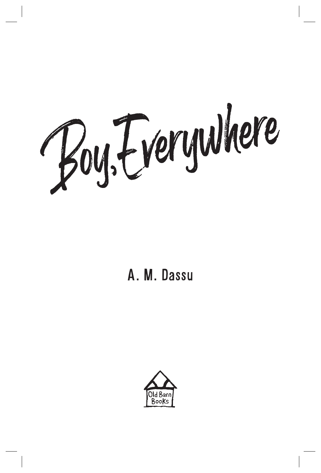Boy. Everywhere

## A. M. Dassu

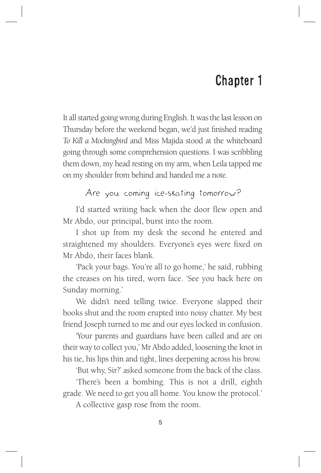## Chapter 1

It all started going wrong during English. It was the last lesson on Thursday before the weekend began, we'd just finished reading *To Kill a Mockingbird* and Miss Majida stood at the whiteboard going through some comprehension questions. I was scribbling them down, my head resting on my arm, when Leila tapped me on my shoulder from behind and handed me a note.

Are you coming ice-skating tomorrow?

I'd started writing back when the door flew open and Mr Abdo, our principal, burst into the room.

I shot up from my desk the second he entered and straightened my shoulders. Everyone's eyes were fixed on Mr Abdo, their faces blank.

'Pack your bags. You're all to go home,' he said, rubbing the creases on his tired, worn face. 'See you back here on Sunday morning.'

We didn't need telling twice. Everyone slapped their books shut and the room erupted into noisy chatter. My best friend Joseph turned to me and our eyes locked in confusion.

'Your parents and guardians have been called and are on their way to collect you,' Mr Abdo added, loosening the knot in his tie, his lips thin and tight, lines deepening across his brow.

'But why, Sir?' asked someone from the back of the class.

'There's been a bombing. This is not a drill, eighth grade. We need to get you all home. You know the protocol.'

A collective gasp rose from the room.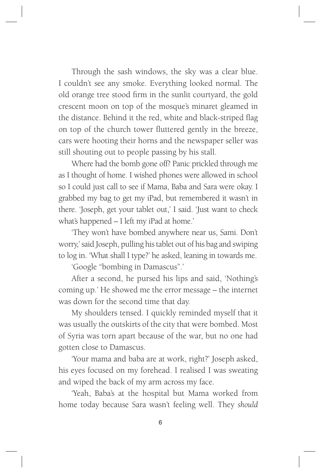Through the sash windows, the sky was a clear blue. I couldn't see any smoke. Everything looked normal. The old orange tree stood firm in the sunlit courtyard, the gold crescent moon on top of the mosque's minaret gleamed in the distance. Behind it the red, white and black-striped flag on top of the church tower fluttered gently in the breeze, cars were hooting their horns and the newspaper seller was still shouting out to people passing by his stall.

Where had the bomb gone off? Panic prickled through me as I thought of home. I wished phones were allowed in school so I could just call to see if Mama, Baba and Sara were okay. I grabbed my bag to get my iPad, but remembered it wasn't in there. 'Joseph, get your tablet out,' I said. 'Just want to check what's happened – I left my iPad at home.'

'They won't have bombed anywhere near us, Sami. Don't worry,' said Joseph, pulling his tablet out of his bag and swiping to log in. 'What shall I type?' he asked, leaning in towards me.

'Google "bombing in Damascus".'

After a second, he pursed his lips and said, 'Nothing's coming up.' He showed me the error message – the internet was down for the second time that day.

My shoulders tensed. I quickly reminded myself that it was usually the outskirts of the city that were bombed. Most of Syria was torn apart because of the war, but no one had gotten close to Damascus.

'Your mama and baba are at work, right?' Joseph asked, his eyes focused on my forehead. I realised I was sweating and wiped the back of my arm across my face.

'Yeah, Baba's at the hospital but Mama worked from home today because Sara wasn't feeling well. They *should*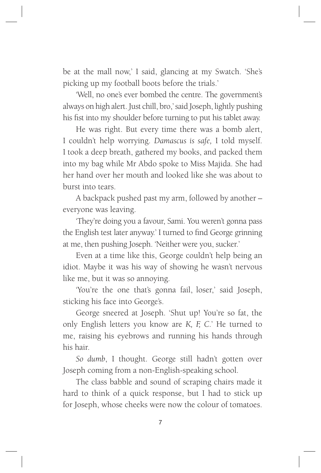be at the mall now,' I said, glancing at my Swatch. 'She's picking up my football boots before the trials.'

'Well, no one's ever bombed the centre. The government's always on high alert. Just chill, bro,' said Joseph, lightly pushing his fist into my shoulder before turning to put his tablet away.

He was right. But every time there was a bomb alert, I couldn't help worrying. *Damascus is safe,* I told myself. I took a deep breath, gathered my books, and packed them into my bag while Mr Abdo spoke to Miss Majida. She had her hand over her mouth and looked like she was about to burst into tears.

A backpack pushed past my arm, followed by another – everyone was leaving.

'They're doing you a favour, Sami. You weren't gonna pass the English test later anyway.' I turned to find George grinning at me, then pushing Joseph. 'Neither were you, sucker.'

Even at a time like this, George couldn't help being an idiot. Maybe it was his way of showing he wasn't nervous like me, but it was so annoying.

'You're the one that's gonna fail, loser,' said Joseph, sticking his face into George's.

George sneered at Joseph. 'Shut up! You're so fat, the only English letters you know are *K, F, C*.' He turned to me, raising his eyebrows and running his hands through his hair.

*So dumb*, I thought. George still hadn't gotten over Joseph coming from a non-English-speaking school.

The class babble and sound of scraping chairs made it hard to think of a quick response, but I had to stick up for Joseph, whose cheeks were now the colour of tomatoes.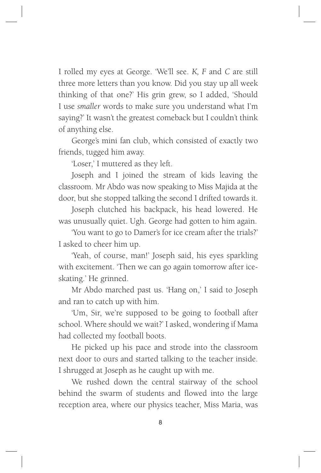I rolled my eyes at George. 'We'll see. *K, F* and *C* are still three more letters than you know. Did you stay up all week thinking of that one?' His grin grew, so I added, 'Should I use *smaller* words to make sure you understand what I'm saying?' It wasn't the greatest comeback but I couldn't think of anything else.

George's mini fan club, which consisted of exactly two friends, tugged him away.

'Loser,' I muttered as they left.

Joseph and I joined the stream of kids leaving the classroom. Mr Abdo was now speaking to Miss Majida at the door, but she stopped talking the second I drifted towards it.

Joseph clutched his backpack, his head lowered. He was unusually quiet. Ugh. George had gotten to him again.

'You want to go to Damer's for ice cream after the trials?' I asked to cheer him up.

'Yeah, of course, man!' Joseph said, his eyes sparkling with excitement. 'Then we can go again tomorrow after iceskating.' He grinned.

Mr Abdo marched past us. 'Hang on,' I said to Joseph and ran to catch up with him.

'Um, Sir, we're supposed to be going to football after school. Where should we wait?' I asked, wondering if Mama had collected my football boots.

He picked up his pace and strode into the classroom next door to ours and started talking to the teacher inside. I shrugged at Joseph as he caught up with me.

We rushed down the central stairway of the school behind the swarm of students and flowed into the large reception area, where our physics teacher, Miss Maria, was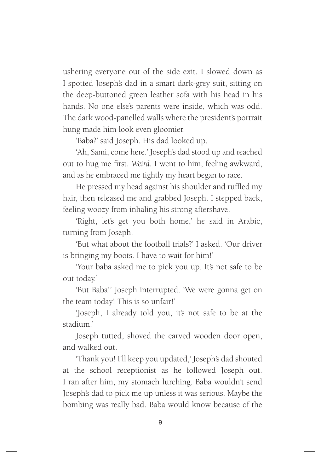ushering everyone out of the side exit. I slowed down as I spotted Joseph's dad in a smart dark-grey suit, sitting on the deep-buttoned green leather sofa with his head in his hands. No one else's parents were inside, which was odd. The dark wood-panelled walls where the president's portrait hung made him look even gloomier.

'Baba?' said Joseph. His dad looked up.

'Ah, Sami, come here.' Joseph's dad stood up and reached out to hug me first. *Weird*. I went to him, feeling awkward, and as he embraced me tightly my heart began to race.

He pressed my head against his shoulder and ruffled my hair, then released me and grabbed Joseph. I stepped back, feeling woozy from inhaling his strong aftershave.

'Right, let's get you both home,' he said in Arabic, turning from Joseph.

'But what about the football trials?' I asked. 'Our driver is bringing my boots. I have to wait for him!'

'Your baba asked me to pick you up. It's not safe to be out today.'

'But Baba!' Joseph interrupted. 'We were gonna get on the team today! This is so unfair!'

'Joseph, I already told you, it's not safe to be at the stadium.'

Joseph tutted, shoved the carved wooden door open, and walked out.

'Thank you! I'll keep you updated,' Joseph's dad shouted at the school receptionist as he followed Joseph out. I ran after him, my stomach lurching. Baba wouldn't send Joseph's dad to pick me up unless it was serious. Maybe the bombing was really bad. Baba would know because of the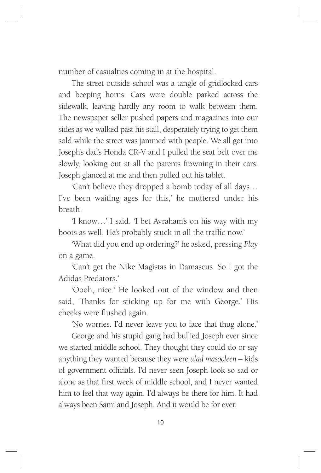number of casualties coming in at the hospital.

The street outside school was a tangle of gridlocked cars and beeping horns. Cars were double parked across the sidewalk, leaving hardly any room to walk between them. The newspaper seller pushed papers and magazines into our sides as we walked past his stall, desperately trying to get them sold while the street was jammed with people. We all got into Joseph's dad's Honda CR-V and I pulled the seat belt over me slowly, looking out at all the parents frowning in their cars. Joseph glanced at me and then pulled out his tablet.

'Can't believe they dropped a bomb today of all days… I've been waiting ages for this,' he muttered under his breath.

'I know…' I said. 'I bet Avraham's on his way with my boots as well. He's probably stuck in all the traffic now.'

'What did you end up ordering?' he asked, pressing *Play* on a game.

'Can't get the Nike Magistas in Damascus. So I got the Adidas Predators.'

'Oooh, nice.' He looked out of the window and then said, 'Thanks for sticking up for me with George.' His cheeks were flushed again.

'No worries. I'd never leave you to face that thug alone.'

George and his stupid gang had bullied Joseph ever since we started middle school. They thought they could do or say anything they wanted because they were *ulad masooleen* – kids of government officials. I'd never seen Joseph look so sad or alone as that first week of middle school, and I never wanted him to feel that way again. I'd always be there for him. It had always been Sami and Joseph. And it would be for ever.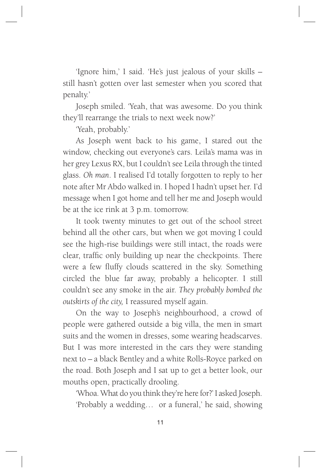'Ignore him,' I said. 'He's just jealous of your skills – still hasn't gotten over last semester when you scored that penalty.'

Joseph smiled. 'Yeah, that was awesome. Do you think they'll rearrange the trials to next week now?'

'Yeah, probably.'

As Joseph went back to his game, I stared out the window, checking out everyone's cars. Leila's mama was in her grey Lexus RX, but I couldn't see Leila through the tinted glass. *Oh man*. I realised I'd totally forgotten to reply to her note after Mr Abdo walked in. I hoped I hadn't upset her. I'd message when I got home and tell her me and Joseph would be at the ice rink at 3 p.m. tomorrow.

It took twenty minutes to get out of the school street behind all the other cars, but when we got moving I could see the high-rise buildings were still intact, the roads were clear, traffic only building up near the checkpoints. There were a few fluffy clouds scattered in the sky. Something circled the blue far away, probably a helicopter. I still couldn't see any smoke in the air. *They probably bombed the outskirts of the city,* I reassured myself again.

On the way to Joseph's neighbourhood, a crowd of people were gathered outside a big villa, the men in smart suits and the women in dresses, some wearing headscarves. But I was more interested in the cars they were standing next to – a black Bentley and a white Rolls-Royce parked on the road. Both Joseph and I sat up to get a better look, our mouths open, practically drooling.

'Whoa. What do you think they're here for?' I asked Joseph. 'Probably a wedding… or a funeral,' he said, showing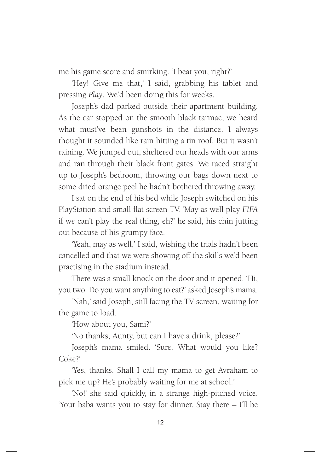me his game score and smirking. 'I beat you, right?'

'Hey! Give me that,' I said, grabbing his tablet and pressing *Play*. We'd been doing this for weeks.

Joseph's dad parked outside their apartment building. As the car stopped on the smooth black tarmac, we heard what must've been gunshots in the distance. I always thought it sounded like rain hitting a tin roof. But it wasn't raining. We jumped out, sheltered our heads with our arms and ran through their black front gates. We raced straight up to Joseph's bedroom, throwing our bags down next to some dried orange peel he hadn't bothered throwing away.

I sat on the end of his bed while Joseph switched on his PlayStation and small flat screen TV. 'May as well play *FIFA*  if we can't play the real thing, eh?' he said, his chin jutting out because of his grumpy face.

'Yeah, may as well,' I said, wishing the trials hadn't been cancelled and that we were showing off the skills we'd been practising in the stadium instead.

There was a small knock on the door and it opened. 'Hi, you two. Do you want anything to eat?' asked Joseph's mama.

'Nah,' said Joseph, still facing the TV screen, waiting for the game to load.

'How about you, Sami?'

'No thanks, Aunty, but can I have a drink, please?'

Joseph's mama smiled. 'Sure. What would you like? Coke?'

'Yes, thanks. Shall I call my mama to get Avraham to pick me up? He's probably waiting for me at school.'

'No!' she said quickly, in a strange high-pitched voice. 'Your baba wants you to stay for dinner. Stay there – I'll be